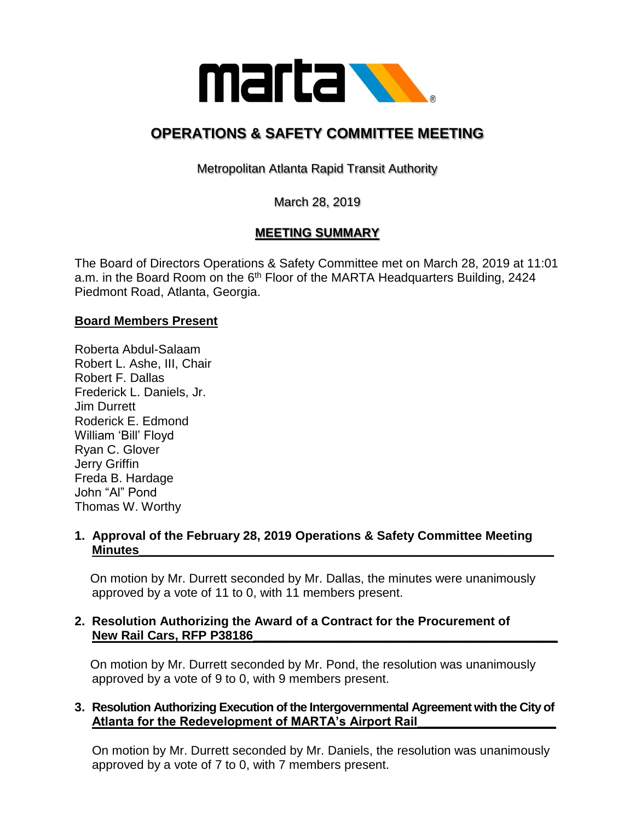

# **OPERATIONS & SAFETY COMMITTEE MEETING**

Metropolitan Atlanta Rapid Transit Authority

March 28, 2019

# **MEETING SUMMARY**

The Board of Directors Operations & Safety Committee met on March 28, 2019 at 11:01 a.m. in the Board Room on the  $6<sup>th</sup>$  Floor of the MARTA Headquarters Building, 2424 Piedmont Road, Atlanta, Georgia.

## **Board Members Present**

Roberta Abdul-Salaam Robert L. Ashe, III, Chair Robert F. Dallas Frederick L. Daniels, Jr. Jim Durrett Roderick E. Edmond William 'Bill' Floyd Ryan C. Glover Jerry Griffin Freda B. Hardage John "Al" Pond Thomas W. Worthy

## **1. Approval of the February 28, 2019 Operations & Safety Committee Meeting Minutes\_\_\_\_\_\_\_\_\_\_\_\_\_\_\_\_\_\_\_\_\_\_\_\_\_\_\_\_\_\_\_\_\_\_\_\_\_\_\_\_\_\_\_\_\_\_\_\_\_\_\_\_\_\_\_\_\_\_\_\_**

 On motion by Mr. Durrett seconded by Mr. Dallas, the minutes were unanimously approved by a vote of 11 to 0, with 11 members present.

## **2. Resolution Authorizing the Award of a Contract for the Procurement of**  New Rail Cars, RFP P38186

 On motion by Mr. Durrett seconded by Mr. Pond, the resolution was unanimously approved by a vote of 9 to 0, with 9 members present.

# **3. Resolution Authorizing Execution of the Intergovernmental Agreement with the City of Atlanta for the Redevelopment of MARTA's Airport Rail\_\_\_\_\_\_\_\_\_\_\_\_\_\_\_\_\_\_\_\_**

 On motion by Mr. Durrett seconded by Mr. Daniels, the resolution was unanimously approved by a vote of 7 to 0, with 7 members present.